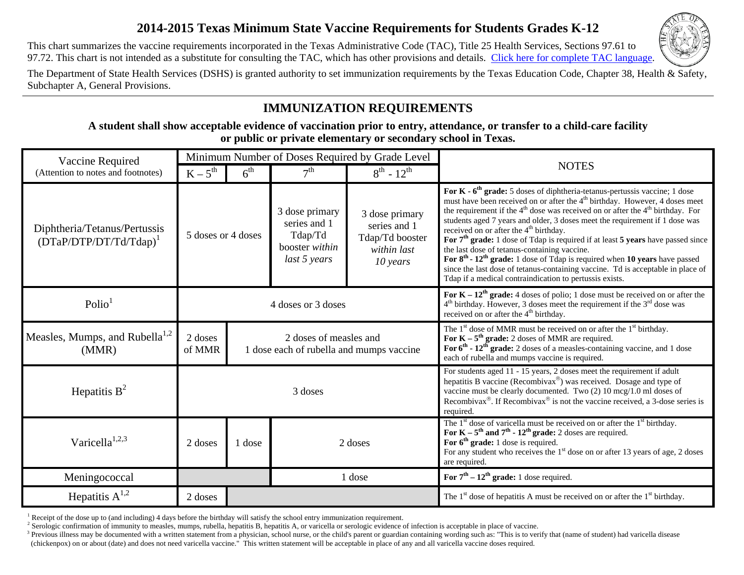## **2014-2015 Texas Minimum State Vaccine Requirements for Students Grades K-12**

This chart summarizes the vaccine requirements incorporated in the Texas Administrative Code (TAC), Title 25 Health Services, Sections 97.61 to 97.72. This chart is not intended as a substitute for consulting the TAC, which has other provisions and details. [Click here for complete TAC language.](http://info.sos.state.tx.us/pls/pub/readtac$ext.TacPage?sl=R&app=9&p_dir=&p_rloc=&p_tloc=&p_ploc=&pg=1&p_tac=&ti=25&pt=1&ch=97&rl=63)



The Department of State Health Services (DSHS) is granted authority to set immunization requirements by the Texas Education Code, Chapter 38, Health & Safety, Subchapter A, General Provisions.

# **IMMUNIZATION REQUIREMENTS**

**A student shall show acceptable evidence of vaccination prior to entry, attendance, or transfer to a child-care facility or public or private elementary or secondary school in Texas.** 

| Vaccine Required<br>(Attention to notes and footnotes)    |                    |                 |                                                                             | Minimum Number of Doses Required by Grade Level                                |                                                                                                                                                                                                                                                                                                                                                                                                                                                                                                                                                                                                                                                                                                                                                                         |
|-----------------------------------------------------------|--------------------|-----------------|-----------------------------------------------------------------------------|--------------------------------------------------------------------------------|-------------------------------------------------------------------------------------------------------------------------------------------------------------------------------------------------------------------------------------------------------------------------------------------------------------------------------------------------------------------------------------------------------------------------------------------------------------------------------------------------------------------------------------------------------------------------------------------------------------------------------------------------------------------------------------------------------------------------------------------------------------------------|
|                                                           | $K-5^{th}$         | 6 <sup>th</sup> | 7 <sup>th</sup>                                                             | $8^{th}$ - 12 <sup>th</sup>                                                    | <b>NOTES</b>                                                                                                                                                                                                                                                                                                                                                                                                                                                                                                                                                                                                                                                                                                                                                            |
| Diphtheria/Tetanus/Pertussis<br>$(DTaP/DTP/DT/Td/Tdap)^T$ | 5 doses or 4 doses |                 | 3 dose primary<br>series and 1<br>Tdap/Td<br>booster within<br>last 5 years | 3 dose primary<br>series and 1<br>Tdap/Td booster<br>within last<br>$10$ years | For $K - 6th$ grade: 5 doses of diphtheria-tetanus-pertussis vaccine; 1 dose<br>must have been received on or after the 4 <sup>th</sup> birthday. However, 4 doses meet<br>the requirement if the $4th$ dose was received on or after the $4th$ birthday. For<br>students aged 7 years and older, 3 doses meet the requirement if 1 dose was<br>received on or after the 4 <sup>th</sup> birthday.<br>For $7th$ grade: 1 dose of Tdap is required if at least 5 years have passed since<br>the last dose of tetanus-containing vaccine.<br>For $8th$ - $12th$ grade: 1 dose of Tdap is required when 10 years have passed<br>since the last dose of tetanus-containing vaccine. Td is acceptable in place of<br>Tdap if a medical contraindication to pertussis exists. |
| Polio <sup>1</sup>                                        |                    |                 | 4 doses or 3 doses                                                          |                                                                                | For $K - 12^{th}$ grade: 4 doses of polio; 1 dose must be received on or after the<br>$4th$ birthday. However, 3 doses meet the requirement if the $3rd$ dose was<br>received on or after the 4 <sup>th</sup> birthday.                                                                                                                                                                                                                                                                                                                                                                                                                                                                                                                                                 |
| Measles, Mumps, and Rubella <sup>1,2</sup><br>(MMR)       | 2 doses<br>of MMR  |                 | 2 doses of measles and<br>1 dose each of rubella and mumps vaccine          |                                                                                | The $1st$ dose of MMR must be received on or after the $1st$ birthday.<br>For $K - 5th$ grade: 2 doses of MMR are required.<br>For $6^{th}$ - $12^{th}$ grade: 2 doses of a measles-containing vaccine, and 1 dose<br>each of rubella and mumps vaccine is required.                                                                                                                                                                                                                                                                                                                                                                                                                                                                                                    |
| Hepatitis $B^2$                                           |                    |                 | 3 doses                                                                     |                                                                                | For students aged 11 - 15 years, 2 doses meet the requirement if adult<br>hepatitis B vaccine (Recombivax <sup>®</sup> ) was received. Dosage and type of<br>vaccine must be clearly documented. Two $(2)$ 10 mcg/1.0 ml doses of<br>Recombivax <sup>®</sup> . If Recombivax <sup>®</sup> is not the vaccine received, a 3-dose series is<br>required.                                                                                                                                                                                                                                                                                                                                                                                                                  |
| Varicella <sup>1,2,3</sup>                                | 2 doses            | 1 dose          |                                                                             | 2 doses                                                                        | The 1 <sup>st</sup> dose of varicella must be received on or after the 1 <sup>st</sup> birthday.<br>For $K - 5th$ and $7th - 12th$ grade: 2 doses are required.<br>For $6th$ grade: 1 dose is required.<br>For any student who receives the $1st$ dose on or after 13 years of age, 2 doses<br>are required.                                                                                                                                                                                                                                                                                                                                                                                                                                                            |
| Meningococcal                                             |                    |                 |                                                                             | 1 dose                                                                         | For $7th - 12th$ grade: 1 dose required.                                                                                                                                                                                                                                                                                                                                                                                                                                                                                                                                                                                                                                                                                                                                |
| Hepatitis $A^{1,2}$                                       | 2 doses            |                 |                                                                             |                                                                                | The $1st$ dose of hepatitis A must be received on or after the $1st$ birthday.                                                                                                                                                                                                                                                                                                                                                                                                                                                                                                                                                                                                                                                                                          |

<sup>1</sup> Receipt of the dose up to (and including) 4 days before the birthday will satisfy the school entry immunization requirement.

<sup>2</sup> Serologic confirmation of immunity to measles, mumps, rubella, hepatitis B, hepatitis A, or varicella or serologic evidence of infection is acceptable in place of vaccine.

<sup>3</sup> Previous illness may be documented with a written statement from a physician, school nurse, or the child's parent or guardian containing wording such as: "This is to verify that (name of student) had varicella disease (chickenpox) on or about (date) and does not need varicella vaccine." This written statement will be acceptable in place of any and all varicella vaccine doses required.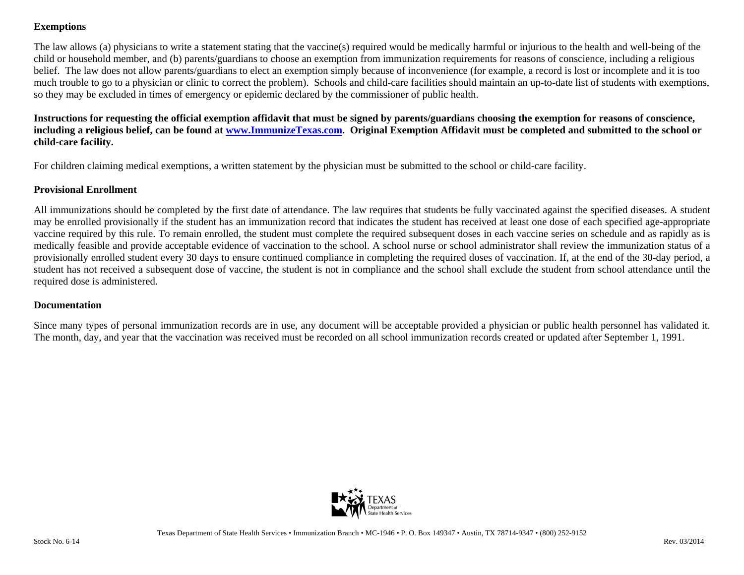### **Exemptions**

The law allows (a) physicians to write a statement stating that the vaccine(s) required would be medically harmful or injurious to the health and well-being of the child or household member, and (b) parents/guardians to choose an exemption from immunization requirements for reasons of conscience, including a religious belief. The law does not allow parents/guardians to elect an exemption simply because of inconvenience (for example, a record is lost or incomplete and it is too much trouble to go to a physician or clinic to correct the problem). Schools and child-care facilities should maintain an up-to-date list of students with exemptions, so they may be excluded in times of emergency or epidemic declared by the commissioner of public health.

### **Instructions for requesting the official exemption affidavit that must be signed by parents/guardians choosing the exemption for reasons of conscience, including a religious belief, can be found at www.ImmunizeTexas.com. Original Exemption Affidavit must be completed and submitted to the school or child-care facility.**

For children claiming medical exemptions, a written statement by the physician must be submitted to the school or child-care facility.

### **Provisional Enrollment**

All immunizations should be completed by the first date of attendance. The law requires that students be fully vaccinated against the specified diseases. A student may be enrolled provisionally if the student has an immunization record that indicates the student has received at least one dose of each specified age-appropriate vaccine required by this rule. To remain enrolled, the student must complete the required subsequent doses in each vaccine series on schedule and as rapidly as is medically feasible and provide acceptable evidence of vaccination to the school. A school nurse or school administrator shall review the immunization status of a provisionally enrolled student every 30 days to ensure continued compliance in completing the required doses of vaccination. If, at the end of the 30-day period, a student has not received a subsequent dose of vaccine, the student is not in compliance and the school shall exclude the student from school attendance until the required dose is administered.

### **Documentation**

Since many types of personal immunization records are in use, any document will be acceptable provided a physician or public health personnel has validated it. The month, day, and year that the vaccination was received must be recorded on all school immunization records created or updated after September 1, 1991.

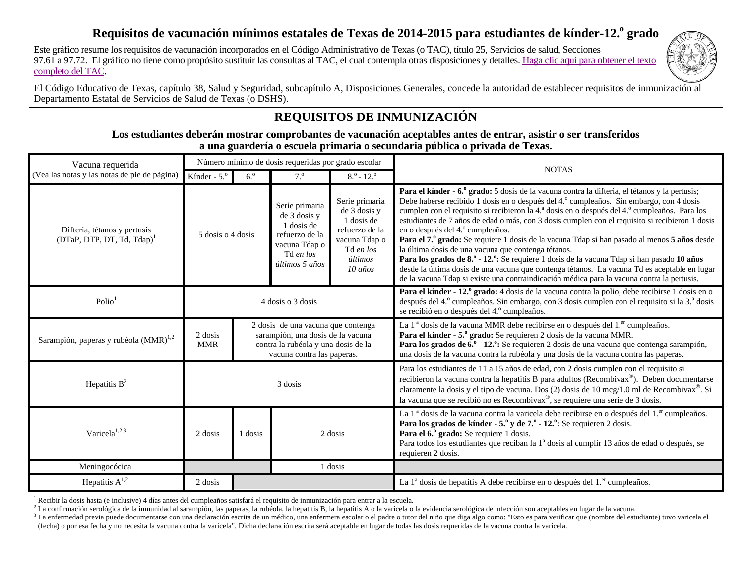### Requisitos de vacunación mínimos estatales de Texas de 2014-2015 para estudiantes de kínder-12.<sup>o</sup> grado

Este gráfico resume los requisitos de vacunación incorporados en el Código Administrativo de Texas (o TAC), título 25, Servicios de salud, Secciones 97.61 a 97.72. El gráfico no tiene como propósito sustituir las consultas al TAC, el cual contempla otras disposiciones y detalles. [Haga clic aquí para obtener el texto](http://info.sos.state.tx.us/pls/pub/readtac$ext.TacPage?sl=R&app=9&p_dir=&p_rloc=&p_tloc=&p_ploc=&pg=1&p_tac=&ti=25&pt=1&ch=97&rl=63)  comp[leto del TAC.](http://info.sos.state.tx.us/pls/pub/readtac$ext.TacPage?sl=R&app=9&p_dir=&p_rloc=&p_tloc=&p_ploc=&pg=1&p_tac=&ti=25&pt=1&ch=97&rl=63) 



El Código Educativo de Texas, capítulo 38, Salud y Seguridad, subcapítulo A, Disposiciones Generales, concede la autoridad de establecer requisitos de inmunización al Departamento Estatal de Servicios de Salud de Texas (o DSHS).

## **REQUISITOS DE INMUNIZACIÓN**

**Los estudiantes deberán mostrar comprobantes de vacunación aceptables antes de entrar, asistir o ser transferidos a una guardería o escuela primaria o secundaria pública o privada de Texas.** 

| Vacuna requerida                                              |                          |                                                                                                                                              | Número mínimo de dosis requeridas por grado escolar                                                            |                                                                                                                                        | <b>NOTAS</b>                                                                                                                                                                                                                                                                                                                                                                                                                                                                                                                                                                                                                                                                                                                                                                                                                                                                         |
|---------------------------------------------------------------|--------------------------|----------------------------------------------------------------------------------------------------------------------------------------------|----------------------------------------------------------------------------------------------------------------|----------------------------------------------------------------------------------------------------------------------------------------|--------------------------------------------------------------------------------------------------------------------------------------------------------------------------------------------------------------------------------------------------------------------------------------------------------------------------------------------------------------------------------------------------------------------------------------------------------------------------------------------------------------------------------------------------------------------------------------------------------------------------------------------------------------------------------------------------------------------------------------------------------------------------------------------------------------------------------------------------------------------------------------|
| (Vea las notas y las notas de pie de página)                  | Kínder - 5. <sup>°</sup> | $6.^\circ$                                                                                                                                   | 7.9                                                                                                            | $8.° - 12.°$                                                                                                                           |                                                                                                                                                                                                                                                                                                                                                                                                                                                                                                                                                                                                                                                                                                                                                                                                                                                                                      |
| Difteria, tétanos y pertusis<br>$(DTaP, DTP, DT, Td, Tdap)^T$ | 5 dosis o 4 dosis        |                                                                                                                                              | Serie primaria<br>de 3 dosis y<br>1 dosis de<br>refuerzo de la<br>vacuna Tdap o<br>Td en los<br>últimos 5 años | Serie primaria<br>de 3 dosis y<br>1 dosis de<br>refuerzo de la<br>vacuna Tdap o<br>Td en los<br>últimos<br>$10 \overline{\text{a}$ ños | Para el kínder - 6.º grado: 5 dosis de la vacuna contra la difteria, el tétanos y la pertusis;<br>Debe haberse recibido 1 dosis en o después del 4.º cumpleaños. Sin embargo, con 4 dosis<br>cumplen con el requisito si recibieron la 4.ª dosis en o después del 4.º cumpleaños. Para los<br>estudiantes de 7 años de edad o más, con 3 dosis cumplen con el requisito si recibieron 1 dosis<br>en o después del 4.º cumpleaños.<br>Para el 7.º grado: Se requiere 1 dosis de la vacuna Tdap si han pasado al menos 5 años desde<br>la última dosis de una vacuna que contenga tétanos.<br>Para los grados de 8.º - 12.º: Se requiere 1 dosis de la vacuna Tdap si han pasado 10 años<br>desde la última dosis de una vacuna que contenga tétanos. La vacuna Td es aceptable en lugar<br>de la vacuna Tdap si existe una contraindicación médica para la vacuna contra la pertusis. |
| Polio <sup>1</sup>                                            | 4 dosis o 3 dosis        |                                                                                                                                              |                                                                                                                |                                                                                                                                        | Para el kínder - 12.º grado: 4 dosis de la vacuna contra la polio; debe recibirse 1 dosis en o<br>después del 4.º cumpleaños. Sin embargo, con 3 dosis cumplen con el requisito si la 3.ª dosis<br>se recibió en o después del 4.º cumpleaños.                                                                                                                                                                                                                                                                                                                                                                                                                                                                                                                                                                                                                                       |
| Sarampión, paperas y rubéola (MMR) <sup>1,2</sup>             | 2 dosis<br><b>MMR</b>    | 2 dosis de una vacuna que contenga<br>sarampión, una dosis de la vacuna<br>contra la rubéola y una dosis de la<br>vacuna contra las paperas. |                                                                                                                |                                                                                                                                        | La 1 <sup>ª</sup> dosis de la vacuna MMR debe recibirse en o después del 1. <sup>er</sup> cumpleaños.<br>Para el kínder - 5.º grado: Se requieren 2 dosis de la vacuna MMR.<br>Para los grados de 6.º - 12.º: Se requieren 2 dosis de una vacuna que contenga sarampión,<br>una dosis de la vacuna contra la rubéola y una dosis de la vacuna contra las paperas.                                                                                                                                                                                                                                                                                                                                                                                                                                                                                                                    |
| Hepatitis $B^2$                                               |                          |                                                                                                                                              | 3 dosis                                                                                                        |                                                                                                                                        | Para los estudiantes de 11 a 15 años de edad, con 2 dosis cumplen con el requisito si<br>recibieron la vacuna contra la hepatitis B para adultos (Recombivax®). Deben documentarse<br>claramente la dosis y el tipo de vacuna. Dos (2) dosis de 10 mcg/1.0 ml de Recombivax <sup>®</sup> . Si<br>la vacuna que se recibió no es Recombivax <sup>®</sup> , se requiere una serie de 3 dosis.                                                                                                                                                                                                                                                                                                                                                                                                                                                                                          |
| Varicela <sup>1,2,3</sup>                                     | 2 dosis                  | 1 dosis                                                                                                                                      | 2 dosis                                                                                                        |                                                                                                                                        | La 1 <sup>ª</sup> dosis de la vacuna contra la varicela debe recibirse en o después del 1. <sup>er</sup> cumpleaños.<br>Para los grados de kínder - $5.^{\circ}$ y de $7.^{\circ}$ - 12. $\degree$ : Se requieren 2 dosis.<br>Para el 6.º grado: Se requiere 1 dosis.<br>Para todos los estudiantes que reciban la 1 <sup>ª</sup> dosis al cumplir 13 años de edad o después, se<br>requieren 2 dosis.                                                                                                                                                                                                                                                                                                                                                                                                                                                                               |
| Meningocócica                                                 |                          |                                                                                                                                              | 1 dosis                                                                                                        |                                                                                                                                        |                                                                                                                                                                                                                                                                                                                                                                                                                                                                                                                                                                                                                                                                                                                                                                                                                                                                                      |
| Hepatitis $A^{1,2}$                                           | 2 dosis                  |                                                                                                                                              |                                                                                                                |                                                                                                                                        | La $1^{\circ}$ dosis de hepatitis A debe recibirse en o después del $1.^{\rm er}$ cumpleaños.                                                                                                                                                                                                                                                                                                                                                                                                                                                                                                                                                                                                                                                                                                                                                                                        |

<sup>1</sup> Recibir la dosis hasta (e inclusive) 4 días antes del cumpleaños satisfará el requisito de inmunización para entrar a la escuela.

<sup>2</sup> La confirmación serológica de la inmunidad al sarampión, las paperas, la rubéola, la hepatitis B, la hepatitis A o la varicela o la evidencia serológica de infección son aceptables en lugar de la vacuna.

<sup>3</sup> La enfermedad previa puede documentarse con una declaración escrita de un médico, una enfermera escolar o el padre o tutor del niño que diga algo como: "Esto es para verificar que (nombre del estudiante) tuvo varicela (fecha) o por esa fecha y no necesita la vacuna contra la varicela". Dicha declaración escrita será aceptable en lugar de todas las dosis requeridas de la vacuna contra la varicela.